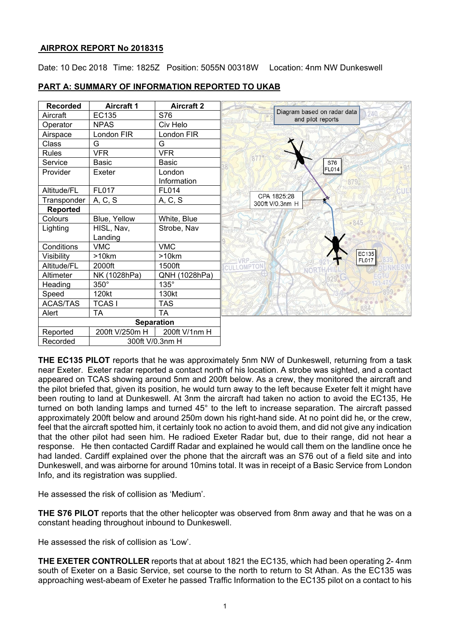## **AIRPROX REPORT No 2018315**

Date: 10 Dec 2018 Time: 1825Z Position: 5055N 00318W Location: 4nm NW Dunkeswell

| <b>Recorded</b>   | <b>Aircraft 1</b> | <b>Aircraft 2</b>     |                                                  |
|-------------------|-------------------|-----------------------|--------------------------------------------------|
| Aircraft          | EC135             | S76                   | Diagram based on radar data<br>and pilot reports |
| Operator          | <b>NPAS</b>       | Civ Helo              |                                                  |
| Airspace          | London FIR        | London FIR            |                                                  |
| Class             | G                 | G                     |                                                  |
| <b>Rules</b>      | <b>VFR</b>        | <b>VFR</b>            |                                                  |
| Service           | <b>Basic</b>      | <b>Basic</b>          | S76                                              |
| Provider          | Exeter            | London<br>Information | FL014<br>CPA 1825:28<br>300ft V/0.3nm H          |
| Altitude/FL       | <b>FL017</b>      | <b>FL014</b>          |                                                  |
| Transponder       | A, C, S           | A, C, S               |                                                  |
| Reported          |                   |                       |                                                  |
| Colours           | Blue, Yellow      | White, Blue           | 845                                              |
| Lighting          | HISL, Nav,        | Strobe, Nav           |                                                  |
|                   | Landing           |                       |                                                  |
| Conditions        | <b>VMC</b>        | <b>VMC</b>            |                                                  |
| Visibility        | >10km             | >10km                 | EC135<br><b>FL017</b>                            |
| Altitude/FL       | 2000ft            | 1500ft                | CULLOMPTO                                        |
| Altimeter         | NK (1028hPa)      | QNH (1028hPa)         |                                                  |
| Heading           | $350^\circ$       | $135^\circ$           |                                                  |
| Speed             | 120kt             | 130kt                 |                                                  |
| <b>ACAS/TAS</b>   | <b>TCAS1</b>      | <b>TAS</b>            | $-884$                                           |
| Alert             | TA                | TA                    |                                                  |
| <b>Separation</b> |                   |                       |                                                  |
| Reported          | 200ft V/250m H    | 200ft V/1nm H         |                                                  |
| Recorded          | 300ft V/0.3nm H   |                       |                                                  |

# **PART A: SUMMARY OF INFORMATION REPORTED TO UKAB**

**THE EC135 PILOT** reports that he was approximately 5nm NW of Dunkeswell, returning from a task near Exeter. Exeter radar reported a contact north of his location. A strobe was sighted, and a contact appeared on TCAS showing around 5nm and 200ft below. As a crew, they monitored the aircraft and the pilot briefed that, given its position, he would turn away to the left because Exeter felt it might have been routing to land at Dunkeswell. At 3nm the aircraft had taken no action to avoid the EC135, He turned on both landing lamps and turned 45° to the left to increase separation. The aircraft passed approximately 200ft below and around 250m down his right-hand side. At no point did he, or the crew, feel that the aircraft spotted him, it certainly took no action to avoid them, and did not give any indication that the other pilot had seen him. He radioed Exeter Radar but, due to their range, did not hear a response. He then contacted Cardiff Radar and explained he would call them on the landline once he had landed. Cardiff explained over the phone that the aircraft was an S76 out of a field site and into Dunkeswell, and was airborne for around 10mins total. It was in receipt of a Basic Service from London Info, and its registration was supplied.

He assessed the risk of collision as 'Medium'.

**THE S76 PILOT** reports that the other helicopter was observed from 8nm away and that he was on a constant heading throughout inbound to Dunkeswell.

He assessed the risk of collision as 'Low'.

**THE EXETER CONTROLLER** reports that at about 1821 the EC135, which had been operating 2- 4nm south of Exeter on a Basic Service, set course to the north to return to St Athan. As the EC135 was approaching west-abeam of Exeter he passed Traffic Information to the EC135 pilot on a contact to his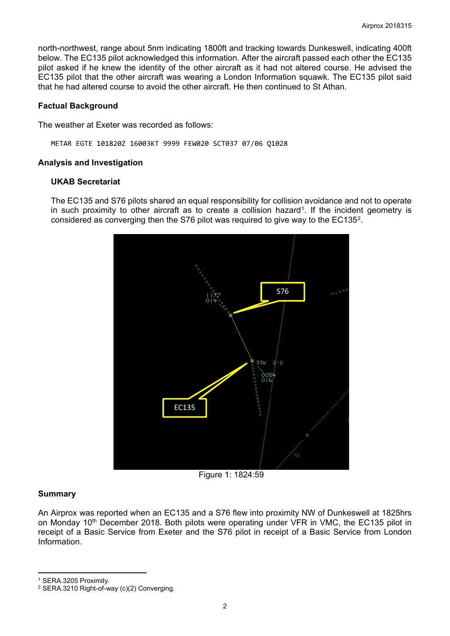north-northwest, range about 5nm indicating 1800ft and tracking towards Dunkeswell, indicating 400ft below. The EC135 pilot acknowledged this information. After the aircraft passed each other the EC135 pilot asked if he knew the identity of the other aircraft as it had not altered course. He advised the EC135 pilot that the other aircraft was wearing a London Information squawk. The EC135 pilot said that he had altered course to avoid the other aircraft. He then continued to St Athan.

### **Factual Background**

The weather at Exeter was recorded as follows:

METAR EGTE 101820Z 16003KT 9999 FEW020 SCT037 07/06 Q1028

#### **Analysis and Investigation**

### **UKAB Secretariat**

The EC135 and S76 pilots shared an equal responsibility for collision avoidance and not to operate in such proximity to other aircraft as to create a collision hazard<sup>1</sup>. If the incident geometry is considered as converging then the S76 pilot was required to give way to the EC135[2](#page-1-1).



Figure 1: 1824:59

## **Summary**

 $\overline{a}$ 

An Airprox was reported when an EC135 and a S76 flew into proximity NW of Dunkeswell at 1825hrs on Monday 10<sup>th</sup> December 2018. Both pilots were operating under VFR in VMC, the EC135 pilot in receipt of a Basic Service from Exeter and the S76 pilot in receipt of a Basic Service from London Information.

<span id="page-1-0"></span><sup>1</sup> SERA.3205 Proximity.

<span id="page-1-1"></span><sup>2</sup> SERA.3210 Right-of-way (c)(2) Converging.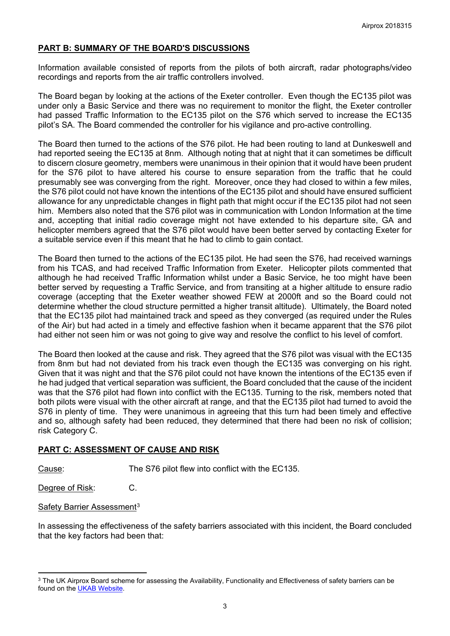## **PART B: SUMMARY OF THE BOARD'S DISCUSSIONS**

Information available consisted of reports from the pilots of both aircraft, radar photographs/video recordings and reports from the air traffic controllers involved.

The Board began by looking at the actions of the Exeter controller. Even though the EC135 pilot was under only a Basic Service and there was no requirement to monitor the flight, the Exeter controller had passed Traffic Information to the EC135 pilot on the S76 which served to increase the EC135 pilot's SA. The Board commended the controller for his vigilance and pro-active controlling.

The Board then turned to the actions of the S76 pilot. He had been routing to land at Dunkeswell and had reported seeing the EC135 at 8nm. Although noting that at night that it can sometimes be difficult to discern closure geometry, members were unanimous in their opinion that it would have been prudent for the S76 pilot to have altered his course to ensure separation from the traffic that he could presumably see was converging from the right. Moreover, once they had closed to within a few miles, the S76 pilot could not have known the intentions of the EC135 pilot and should have ensured sufficient allowance for any unpredictable changes in flight path that might occur if the EC135 pilot had not seen him. Members also noted that the S76 pilot was in communication with London Information at the time and, accepting that initial radio coverage might not have extended to his departure site, GA and helicopter members agreed that the S76 pilot would have been better served by contacting Exeter for a suitable service even if this meant that he had to climb to gain contact.

The Board then turned to the actions of the EC135 pilot. He had seen the S76, had received warnings from his TCAS, and had received Traffic Information from Exeter. Helicopter pilots commented that although he had received Traffic Information whilst under a Basic Service, he too might have been better served by requesting a Traffic Service, and from transiting at a higher altitude to ensure radio coverage (accepting that the Exeter weather showed FEW at 2000ft and so the Board could not determine whether the cloud structure permitted a higher transit altitude). Ultimately, the Board noted that the EC135 pilot had maintained track and speed as they converged (as required under the Rules of the Air) but had acted in a timely and effective fashion when it became apparent that the S76 pilot had either not seen him or was not going to give way and resolve the conflict to his level of comfort.

The Board then looked at the cause and risk. They agreed that the S76 pilot was visual with the EC135 from 8nm but had not deviated from his track even though the EC135 was converging on his right. Given that it was night and that the S76 pilot could not have known the intentions of the EC135 even if he had judged that vertical separation was sufficient, the Board concluded that the cause of the incident was that the S76 pilot had flown into conflict with the EC135. Turning to the risk, members noted that both pilots were visual with the other aircraft at range, and that the EC135 pilot had turned to avoid the S76 in plenty of time. They were unanimous in agreeing that this turn had been timely and effective and so, although safety had been reduced, they determined that there had been no risk of collision; risk Category C.

#### **PART C: ASSESSMENT OF CAUSE AND RISK**

Cause: The S76 pilot flew into conflict with the EC135.

Degree of Risk: C.

#### Safety Barrier Assessment<sup>[3](#page-2-0)</sup>

 $\overline{a}$ 

In assessing the effectiveness of the safety barriers associated with this incident, the Board concluded that the key factors had been that:

<span id="page-2-0"></span><sup>&</sup>lt;sup>3</sup> The UK Airprox Board scheme for assessing the Availability, Functionality and Effectiveness of safety barriers can be found on the [UKAB Website.](http://www.airproxboard.org.uk/Learn-more/Airprox-Barrier-Assessment/)